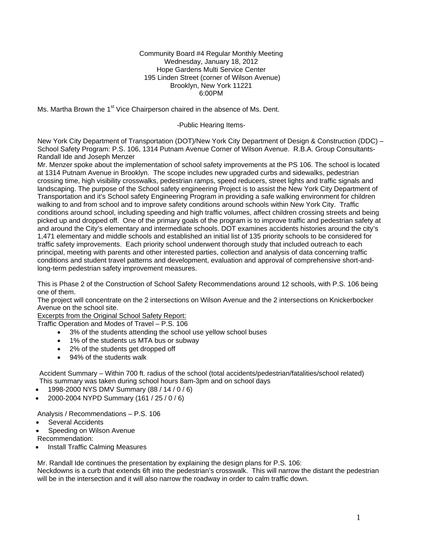#### Community Board #4 Regular Monthly Meeting Wednesday, January 18, 2012 Hope Gardens Multi Service Center 195 Linden Street (corner of Wilson Avenue) Brooklyn, New York 11221 6:00PM

Ms. Martha Brown the 1<sup>st</sup> Vice Chairperson chaired in the absence of Ms. Dent.

-Public Hearing Items-

New York City Department of Transportation (DOT)/New York City Department of Design & Construction (DDC) – School Safety Program: P.S. 106, 1314 Putnam Avenue Corner of Wilson Avenue. R.B.A. Group Consultants-Randall Ide and Joseph Menzer

Mr. Menzer spoke about the implementation of school safety improvements at the PS 106. The school is located at 1314 Putnam Avenue in Brooklyn. The scope includes new upgraded curbs and sidewalks, pedestrian crossing time, high visibility crosswalks, pedestrian ramps, speed reducers, street lights and traffic signals and landscaping. The purpose of the School safety engineering Project is to assist the New York City Department of Transportation and it's School safety Engineering Program in providing a safe walking environment for children walking to and from school and to improve safety conditions around schools within New York City. Traffic conditions around school, including speeding and high traffic volumes, affect children crossing streets and being picked up and dropped off. One of the primary goals of the program is to improve traffic and pedestrian safety at and around the City's elementary and intermediate schools. DOT examines accidents histories around the city's 1,471 elementary and middle schools and established an initial list of 135 priority schools to be considered for traffic safety improvements. Each priority school underwent thorough study that included outreach to each principal, meeting with parents and other interested parties, collection and analysis of data concerning traffic conditions and student travel patterns and development, evaluation and approval of comprehensive short-andlong-term pedestrian safety improvement measures.

This is Phase 2 of the Construction of School Safety Recommendations around 12 schools, with P.S. 106 being one of them.

The project will concentrate on the 2 intersections on Wilson Avenue and the 2 intersections on Knickerbocker Avenue on the school site.

Excerpts from the Original School Safety Report:

Traffic Operation and Modes of Travel – P.S. 106

- 3% of the students attending the school use yellow school buses
- 1% of the students us MTA bus or subway
- 2% of the students get dropped off
- 94% of the students walk

Accident Summary – Within 700 ft. radius of the school (total accidents/pedestrian/fatalities/school related) This summary was taken during school hours 8am-3pm and on school days

- 1998-2000 NYS DMV Summary (88 / 14 / 0 / 6)
- 2000-2004 NYPD Summary (161 / 25 / 0 / 6)

Analysis / Recommendations – P.S. 106

- Several Accidents
- Speeding on Wilson Avenue

Recommendation:

• Install Traffic Calming Measures

Mr. Randall Ide continues the presentation by explaining the design plans for P.S. 106:

Neckdowns is a curb that extends 6ft into the pedestrian's crosswalk. This will narrow the distant the pedestrian will be in the intersection and it will also narrow the roadway in order to calm traffic down.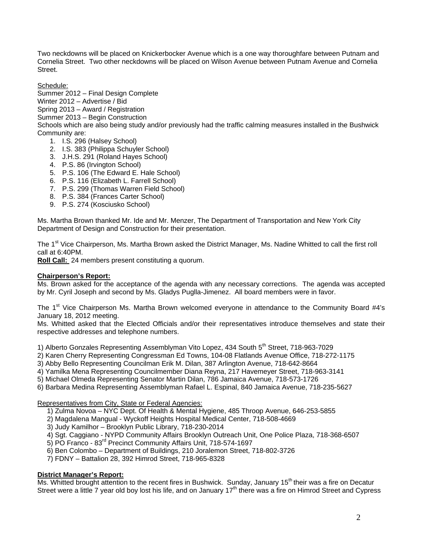Two neckdowns will be placed on Knickerbocker Avenue which is a one way thoroughfare between Putnam and Cornelia Street. Two other neckdowns will be placed on Wilson Avenue between Putnam Avenue and Cornelia Street.

Schedule:

Summer 2012 – Final Design Complete Winter 2012 – Advertise / Bid

Spring 2013 – Award / Registration

Summer 2013 – Begin Construction

Schools which are also being study and/or previously had the traffic calming measures installed in the Bushwick Community are:

- 1. I.S. 296 (Halsey School)
- 2. I.S. 383 (Philippa Schuyler School)
- 3. J.H.S. 291 (Roland Hayes School)
- 4. P.S. 86 (Irvington School)
- 5. P.S. 106 (The Edward E. Hale School)
- 6. P.S. 116 (Elizabeth L. Farrell School)
- 7. P.S. 299 (Thomas Warren Field School)
- 8. P.S. 384 (Frances Carter School)
- 9. P.S. 274 (Kosciusko School)

Ms. Martha Brown thanked Mr. Ide and Mr. Menzer, The Department of Transportation and New York City Department of Design and Construction for their presentation.

The 1<sup>st</sup> Vice Chairperson, Ms. Martha Brown asked the District Manager, Ms. Nadine Whitted to call the first roll call at 6:40PM.

**Roll Call:** 24 members present constituting a quorum.

# **Chairperson's Report:**

Ms. Brown asked for the acceptance of the agenda with any necessary corrections. The agenda was accepted by Mr. Cyril Joseph and second by Ms. Gladys Puglla-Jimenez. All board members were in favor.

The 1<sup>st</sup> Vice Chairperson Ms. Martha Brown welcomed everyone in attendance to the Community Board #4's January 18, 2012 meeting.

Ms. Whitted asked that the Elected Officials and/or their representatives introduce themselves and state their respective addresses and telephone numbers.

1) Alberto Gonzales Representing Assemblyman Vito Lopez, 434 South 5<sup>th</sup> Street, 718-963-7029

2) Karen Cherry Representing Congressman Ed Towns, 104-08 Flatlands Avenue Office, 718-272-1175

3) Abby Bello Representing Councilman Erik M. Dilan, 387 Arlington Avenue, 718-642-8664

- 4) Yamilka Mena Representing Councilmember Diana Reyna, 217 Havemeyer Street, 718-963-3141
- 5) Michael Olmeda Representing Senator Martin Dilan, 786 Jamaica Avenue, 718-573-1726
- 6) Barbara Medina Representing Assemblyman Rafael L. Espinal, 840 Jamaica Avenue, 718-235-5627

Representatives from City, State or Federal Agencies:

- 1) Zulma Novoa NYC Dept. Of Health & Mental Hygiene, 485 Throop Avenue, 646-253-5855
- 2) Magdalena Mangual Wyckoff Heights Hospital Medical Center, 718-508-4669
- 3) Judy Kamilhor Brooklyn Public Library, 718-230-2014
- 4) Sgt. Caggiano NYPD Community Affairs Brooklyn Outreach Unit, One Police Plaza, 718-368-6507
- 5) PO Franco 83rd Precinct Community Affairs Unit, 718-574-1697
- 6) Ben Colombo Department of Buildings, 210 Joralemon Street, 718-802-3726
	- 7) FDNY Battalion 28, 392 Himrod Street, 718-965-8328

# **District Manager's Report:**

Ms. Whitted brought attention to the recent fires in Bushwick. Sunday, January 15<sup>th</sup> their was a fire on Decatur Street were a little 7 year old boy lost his life, and on January 17<sup>th</sup> there was a fire on Himrod Street and Cypress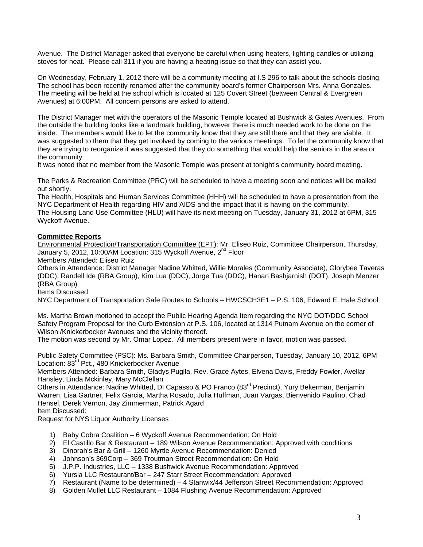Avenue. The District Manager asked that everyone be careful when using heaters, lighting candles or utilizing stoves for heat. Please call 311 if you are having a heating issue so that they can assist you.

On Wednesday, February 1, 2012 there will be a community meeting at I.S 296 to talk about the schools closing. The school has been recently renamed after the community board's former Chairperson Mrs. Anna Gonzales. The meeting will be held at the school which is located at 125 Covert Street (between Central & Evergreen Avenues) at 6:00PM. All concern persons are asked to attend.

The District Manager met with the operators of the Masonic Temple located at Bushwick & Gates Avenues. From the outside the building looks like a landmark building, however there is much needed work to be done on the inside. The members would like to let the community know that they are still there and that they are viable. It was suggested to them that they get involved by coming to the various meetings. To let the community know that they are trying to reorganize it was suggested that they do something that would help the seniors in the area or the community.

It was noted that no member from the Masonic Temple was present at tonight's community board meeting.

The Parks & Recreation Committee (PRC) will be scheduled to have a meeting soon and notices will be mailed out shortly.

The Health, Hospitals and Human Services Committee (HHH) will be scheduled to have a presentation from the NYC Department of Health regarding HIV and AIDS and the impact that it is having on the community. The Housing Land Use Committee (HLU) will have its next meeting on Tuesday, January 31, 2012 at 6PM, 315 Wyckoff Avenue.

# **Committee Reports**

Environmental Protection/Transportation Committee (EPT): Mr. Eliseo Ruiz, Committee Chairperson, Thursday, January 5, 2012, 10:00AM Location: 315 Wyckoff Avenue, 2<sup>nd</sup> Floor

Members Attended: Eliseo Ruiz

Others in Attendance: District Manager Nadine Whitted, Willie Morales (Community Associate), Glorybee Taveras (DDC), Randell Ide (RBA Group), Kim Lua (DDC), Jorge Tua (DDC), Hanan Bashjarnish (DOT), Joseph Menzer (RBA Group)

Items Discussed:

NYC Department of Transportation Safe Routes to Schools – HWCSCH3E1 – P.S. 106, Edward E. Hale School

Ms. Martha Brown motioned to accept the Public Hearing Agenda Item regarding the NYC DOT/DDC School Safety Program Proposal for the Curb Extension at P.S. 106, located at 1314 Putnam Avenue on the corner of Wilson /Knickerbocker Avenues and the vicinity thereof.

The motion was second by Mr. Omar Lopez. All members present were in favor, motion was passed.

Public Safety Committee (PSC): Ms. Barbara Smith, Committee Chairperson, Tuesday, January 10, 2012, 6PM Location: 83<sup>rd</sup> Pct., 480 Knickerbocker Avenue

Members Attended: Barbara Smith, Gladys Puglla, Rev. Grace Aytes, Elvena Davis, Freddy Fowler, Avellar Hansley, Linda Mckinley, Mary McClellan

Others in Attendance: Nadine Whitted, DI Capasso & PO Franco (83<sup>rd</sup> Precinct), Yury Bekerman, Benjamin Warren, Lisa Gartner, Felix Garcia, Martha Rosado, Julia Huffman, Juan Vargas, Bienvenido Paulino, Chad Hensel, Derek Vernon, Jay Zimmerman, Patrick Agard Item Discussed:

Request for NYS Liquor Authority Licenses

- 1) Baby Cobra Coalition 6 Wyckoff Avenue Recommendation: On Hold
- 2) El Castillo Bar & Restaurant 189 Wilson Avenue Recommendation: Approved with conditions
- 3) Dinorah's Bar & Grill 1260 Myrtle Avenue Recommendation: Denied
- 4) Johnson's 369Corp 369 Troutman Street Recommendation: On Hold
- 5) J.P.P. Industries, LLC 1338 Bushwick Avenue Recommendation: Approved
- 6) Yursia LLC Restaurant/Bar 247 Starr Street Recommendation: Approved
- 7) Restaurant (Name to be determined) 4 Stanwix/44 Jefferson Street Recommendation: Approved
- 8) Golden Mullet LLC Restaurant 1084 Flushing Avenue Recommendation: Approved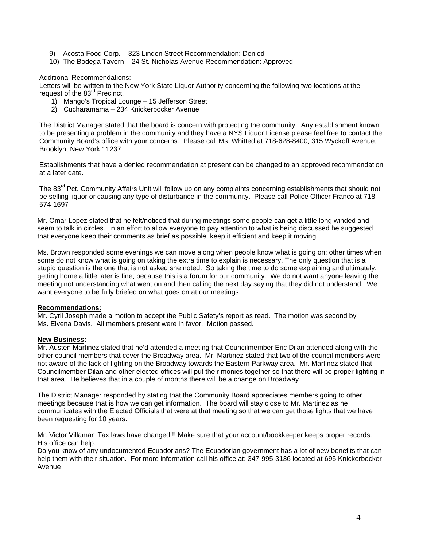- 9) Acosta Food Corp. 323 Linden Street Recommendation: Denied
- 10) The Bodega Tavern 24 St. Nicholas Avenue Recommendation: Approved

Additional Recommendations:

Letters will be written to the New York State Liquor Authority concerning the following two locations at the request of the 83<sup>rd</sup> Precinct.

- 1) Mango's Tropical Lounge 15 Jefferson Street
- 2) Cucharamama 234 Knickerbocker Avenue

The District Manager stated that the board is concern with protecting the community. Any establishment known to be presenting a problem in the community and they have a NYS Liquor License please feel free to contact the Community Board's office with your concerns. Please call Ms. Whitted at 718-628-8400, 315 Wyckoff Avenue, Brooklyn, New York 11237

Establishments that have a denied recommendation at present can be changed to an approved recommendation at a later date.

The 83<sup>rd</sup> Pct. Community Affairs Unit will follow up on any complaints concerning establishments that should not be selling liquor or causing any type of disturbance in the community. Please call Police Officer Franco at 718- 574-1697

Mr. Omar Lopez stated that he felt/noticed that during meetings some people can get a little long winded and seem to talk in circles. In an effort to allow everyone to pay attention to what is being discussed he suggested that everyone keep their comments as brief as possible, keep it efficient and keep it moving.

Ms. Brown responded some evenings we can move along when people know what is going on; other times when some do not know what is going on taking the extra time to explain is necessary. The only question that is a stupid question is the one that is not asked she noted. So taking the time to do some explaining and ultimately, getting home a little later is fine; because this is a forum for our community. We do not want anyone leaving the meeting not understanding what went on and then calling the next day saying that they did not understand. We want everyone to be fully briefed on what goes on at our meetings.

#### **Recommendations:**

Mr. Cyril Joseph made a motion to accept the Public Safety's report as read. The motion was second by Ms. Elvena Davis. All members present were in favor. Motion passed.

#### **New Business:**

Mr. Austen Martinez stated that he'd attended a meeting that Councilmember Eric Dilan attended along with the other council members that cover the Broadway area. Mr. Martinez stated that two of the council members were not aware of the lack of lighting on the Broadway towards the Eastern Parkway area. Mr. Martinez stated that Councilmember Dilan and other elected offices will put their monies together so that there will be proper lighting in that area. He believes that in a couple of months there will be a change on Broadway.

The District Manager responded by stating that the Community Board appreciates members going to other meetings because that is how we can get information. The board will stay close to Mr. Martinez as he communicates with the Elected Officials that were at that meeting so that we can get those lights that we have been requesting for 10 years.

Mr. Victor Villamar: Tax laws have changed!!! Make sure that your account/bookkeeper keeps proper records. His office can help.

Do you know of any undocumented Ecuadorians? The Ecuadorian government has a lot of new benefits that can help them with their situation. For more information call his office at: 347-995-3136 located at 695 Knickerbocker Avenue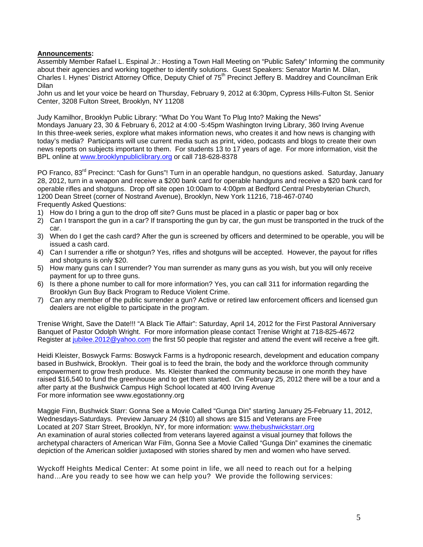# **Announcements:**

Assembly Member Rafael L. Espinal Jr.: Hosting a Town Hall Meeting on "Public Safety" Informing the community about their agencies and working together to identify solutions. Guest Speakers: Senator Martin M. Dilan, Charles I. Hynes' District Attorney Office, Deputy Chief of 75<sup>th</sup> Precinct Jeffery B. Maddrey and Councilman Erik Dilan

John us and let your voice be heard on Thursday, February 9, 2012 at 6:30pm, Cypress Hills-Fulton St. Senior Center, 3208 Fulton Street, Brooklyn, NY 11208

Judy Kamilhor, Brooklyn Public Library: "What Do You Want To Plug Into? Making the News"

Mondays January 23, 30 & February 6, 2012 at 4:00 -5:45pm Washington Irving Library, 360 Irving Avenue In this three-week series, explore what makes information news, who creates it and how news is changing with today's media? Participants will use current media such as print, video, podcasts and blogs to create their own news reports on subjects important to them. For students 13 to 17 years of age. For more information, visit the BPL online at [www.brooklynpubliclibrary.org](http://www.brooklynpubliclibrary.org/) or call 718-628-8378

PO Franco, 83<sup>rd</sup> Precinct: "Cash for Guns"! Turn in an operable handgun, no questions asked. Saturday, January 28, 2012, turn in a weapon and receive a \$200 bank card for operable handguns and receive a \$20 bank card for operable rifles and shotguns. Drop off site open 10:00am to 4:00pm at Bedford Central Presbyterian Church, 1200 Dean Street (corner of Nostrand Avenue), Brooklyn, New York 11216, 718-467-0740 Frequently Asked Questions:

- 1) How do I bring a gun to the drop off site? Guns must be placed in a plastic or paper bag or box
- 2) Can I transport the gun in a car? If transporting the gun by car, the gun must be transported in the truck of the car.
- 3) When do I get the cash card? After the gun is screened by officers and determined to be operable, you will be issued a cash card.
- 4) Can I surrender a rifle or shotgun? Yes, rifles and shotguns will be accepted. However, the payout for rifles and shotguns is only \$20.
- 5) How many guns can I surrender? You man surrender as many guns as you wish, but you will only receive payment for up to three guns.
- 6) Is there a phone number to call for more information? Yes, you can call 311 for information regarding the Brooklyn Gun Buy Back Program to Reduce Violent Crime.
- 7) Can any member of the public surrender a gun? Active or retired law enforcement officers and licensed gun dealers are not eligible to participate in the program.

Trenise Wright, Save the Date!!! "A Black Tie Affair": Saturday, April 14, 2012 for the First Pastoral Anniversary Banquet of Pastor Odolph Wright. For more information please contact Trenise Wright at 718-825-4672 Register at [jubilee.2012@yahoo.com](mailto:jubilee.2012@yahoo.com) the first 50 people that register and attend the event will receive a free gift.

Heidi Kleister, Boswyck Farms: Boswyck Farms is a hydroponic research, development and education company based in Bushwick, Brooklyn. Their goal is to feed the brain, the body and the workforce through community empowerment to grow fresh produce. Ms. Kleister thanked the community because in one month they have raised \$16,540 to fund the greenhouse and to get them started. On February 25, 2012 there will be a tour and a after party at the Bushwick Campus High School located at 400 Irving Avenue For more information see www.egostationny.org

Maggie Finn, Bushwick Starr: Gonna See a Movie Called "Gunga Din" starting January 25-February 11, 2012, Wednesdays-Saturdays. Preview January 24 (\$10) all shows are \$15 and Veterans are Free Located at 207 Starr Street, Brooklyn, NY, for more information: [www.thebushwickstarr.org](http://www.thebushwickstarr.org/) An examination of aural stories collected from veterans layered against a visual journey that follows the archetypal characters of American War Film, Gonna See a Movie Called "Gunga Din" examines the cinematic depiction of the American soldier juxtaposed with stories shared by men and women who have served.

Wyckoff Heights Medical Center: At some point in life, we all need to reach out for a helping hand…Are you ready to see how we can help you? We provide the following services: